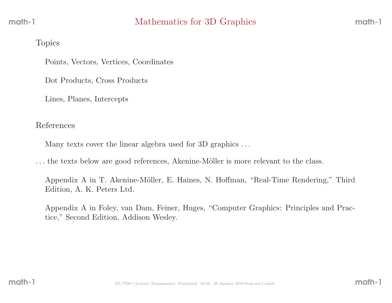#### Topics

Points, Vectors, Vertices, Coordinates

Dot Products, Cross Products

Lines, Planes, Intercepts

### References

Many texts cover the linear algebra used for 3D graphics . . .

... the texts below are good references, Akenine-Möller is more relevant to the class.

Appendix A in T. Akenine-Möller, E. Haines, N. Hoffman, "Real-Time Rendering," Third Edition, A. K. Peters Ltd.

Appendix <sup>A</sup> in Foley, van Dam, Feiner, Huges, "Computer Graphics: Principles and Practice," Second Edition, Addison Wesley.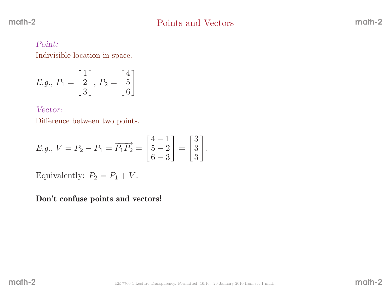#### Point:

Indivisible location in space.

$$
E.g., P_1 = \begin{bmatrix} 1 \\ 2 \\ 3 \end{bmatrix}, P_2 = \begin{bmatrix} 4 \\ 5 \\ 6 \end{bmatrix}
$$

#### Vector:

Difference between two points.

*E.g.*, 
$$
V = P_2 - P_1 = \overrightarrow{P_1 P_2} = \begin{bmatrix} 4 & -1 \\ 5 & -2 \\ 6 & -3 \end{bmatrix} = \begin{bmatrix} 3 \\ 3 \\ 3 \end{bmatrix}
$$
.

Equivalently:  $P_2 = P_1 + V$ .

Don't confuse points and vectors!

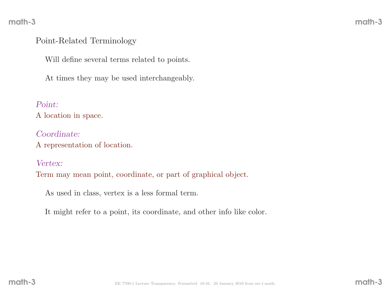## Point-Related Terminology

Will define several terms related to points.

At times they may be used interchangeably.

Point:

<sup>A</sup> location in space.

Coordinate:<sup>A</sup> representation of location.

Vertex:

Term may mean point, coordinate, or part of graphical object.

As used in class, vertex is <sup>a</sup> less formal term.

It might refer to <sup>a</sup> point, its coordinate, and other info like color.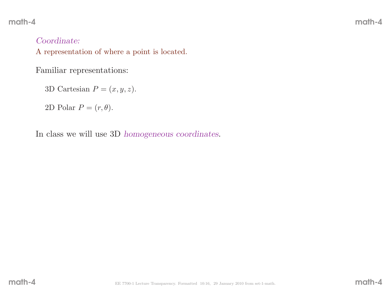# Coordinate:

<sup>A</sup> representation of where <sup>a</sup> point is located.

Familiar representations:

3D Cartesian  $P = (x, y, z)$ .

2D Polar  $P = (r, \theta)$ .

In class we will use 3D homogeneous coordinates.

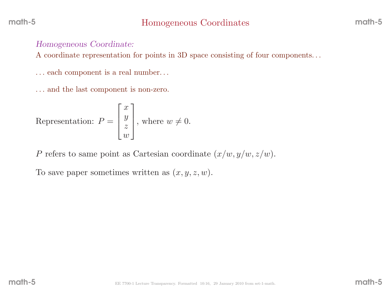### Homogeneous Coordinate:

<sup>A</sup> coordinate representation for points in 3D space consisting of four components. . .

. . . each component is <sup>a</sup> real number. . .

. . . and the last component is non-zero.

Representation: 
$$
P = \begin{bmatrix} x \\ y \\ z \\ w \end{bmatrix}
$$
, where  $w \neq 0$ .

P refers to same point as Cartesian coordinate  $(x/w, y/w, z/w)$ .

To save paper sometimes written as  $(x, y, z, w)$ .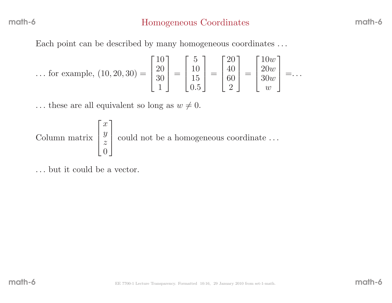Each point can be described by many homogeneous coordinates ...

... for example, 
$$
(10, 20, 30) = \begin{bmatrix} 10 \\ 20 \\ 30 \\ 1 \end{bmatrix} = \begin{bmatrix} 5 \\ 10 \\ 15 \\ 0.5 \end{bmatrix} = \begin{bmatrix} 20 \\ 40 \\ 60 \\ 2 \end{bmatrix} = \begin{bmatrix} 10w \\ 20w \\ 30w \\ w \end{bmatrix} = \dots
$$

... these are all equivalent so long as  $w \neq 0$ .

Column matrix  $\begin{array}{c} \end{array}$  $\mathcal{X}% =\mathbb{R}^{2}\times\mathbb{R}^{2}$  $\frac{y}{z}$  $\overline{0}$ 1 could not be a homogeneous coordinate ...

. . . but it could be <sup>a</sup> vector.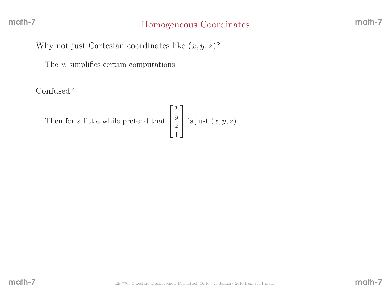# Homogeneous Coordinates

Why not just Cartesian coordinates like  $(x, y, z)$ ?

The *w* simplifies certain computations.

Confused?

Then for a little while pretend

d that 
$$
\begin{bmatrix} x \\ y \\ z \\ 1 \end{bmatrix}
$$
 is just  $(x, y, z)$ .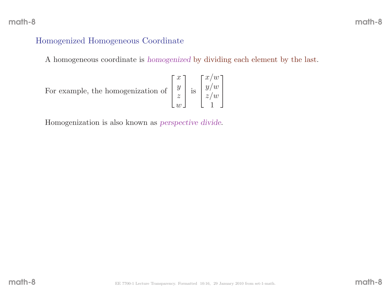# Homogenized Homogeneous Coordinate

<sup>A</sup> homogeneous coordinate is homogenized by dividing each element by the last.

Homogenization is also known as perspective divide.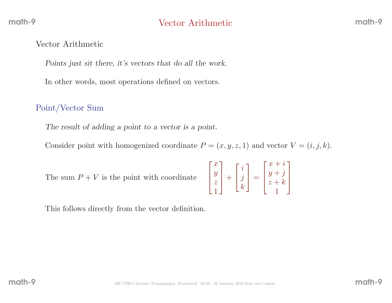### Vector Arithmetic

Points just sit there, it's vectors that do all the work.

In other words, most operations defined on vectors.

# Point/Vector Sum

The result of adding <sup>a</sup> point to <sup>a</sup> vector is <sup>a</sup> point.

Consider point with homogenized coordinate  $P = (x, y, z, 1)$  and vector  $V = (i, j, k)$ .

The summ  $P + V$  is the point with coordinate  $\begin{bmatrix} x \\ y \\ z \\ 1 \end{bmatrix}$ 

$$
\begin{bmatrix} x \\ y \\ z \\ 1 \end{bmatrix} + \begin{bmatrix} i \\ j \\ k \end{bmatrix} = \begin{bmatrix} x+i \\ y+j \\ z+k \\ 1 \end{bmatrix}
$$

This follows directly from the vector definition.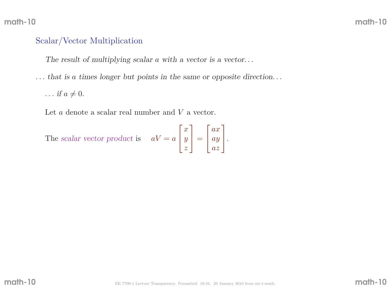# Scalar/Vector Multiplication

The result of multiplying scalar a with a vector is a vector...

. . . that is <sup>a</sup> times longer but points in the same or opposite direction. . .

 $\ldots$  if  $a \neq 0$ .

Let  $a$  denote a scalar real number and  $V$  a vector.

The scalar vector product is 
$$
aV = a\begin{bmatrix} x \\ y \\ z \end{bmatrix} = \begin{bmatrix} ax \\ ay \\ az \end{bmatrix}.
$$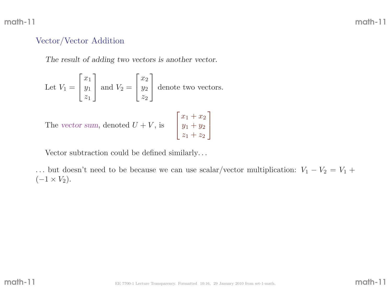## Vector/Vector Addition

The result of adding two vectors is another vector.

Let 
$$
V_1 = \begin{bmatrix} x_1 \\ y_1 \\ z_1 \end{bmatrix}
$$
 and  $V_2 = \begin{bmatrix} x_2 \\ y_2 \\ z_2 \end{bmatrix}$  denote two vectors.

The vector sum, denoted  $U +$ + V, is  $\begin{bmatrix} x_1 + x_2 \\ y_1 + y_2 \\ z_1 + z_2 \end{bmatrix}$ 

Vector subtraction could be defined similarly. . .

... but doesn't need to be because we can use scalar/vector multiplication:  $V_1 - V_2 = V_1 +$  $(-1 \times V_2).$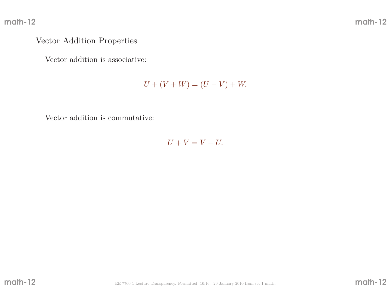## Vector Addition Properties

Vector addition is associative:

 $U + (V + W) = (U + V) + W.$ 

Vector addition is commutative:

 $U + V = V + U.$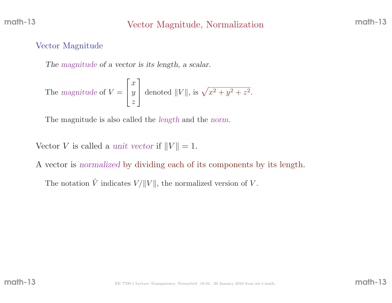# Vector Magnitude, Normalization

## Vector Magnitude

The magnitude of <sup>a</sup> vector is its length, <sup>a</sup> scalar.

The magnitude of 
$$
V = \begin{bmatrix} x \\ y \\ z \end{bmatrix}
$$
 denoted  $||V||$ , is  $\sqrt{x^2 + y^2 + z^2}$ .

The magnitude is also called the *length* and the *norm*.

Vector V is called a unit vector if  $||V|| = 1$ .

<sup>A</sup> vector is normalized by dividing each of its components by its length.

The notation  $\hat{V}$ V indicates  $V / ||V||$ , the normalized version of V.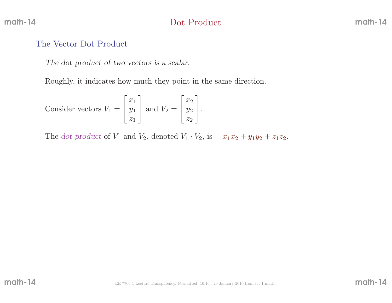# Dot Product

### The Vector Dot Product

The dot product of two vectors is <sup>a</sup> scalar.

Roughly, it indicates how much they point in the same direction.

Consider vectors 
$$
V_1 = \begin{bmatrix} x_1 \\ y_1 \\ z_1 \end{bmatrix}
$$
 and  $V_2 = \begin{bmatrix} x_2 \\ y_2 \\ z_2 \end{bmatrix}$ .

The dot product of  $V_1$  and  $V_2$ , denoted  $V_1 \cdot V_2$ , is  $x_1x_2 + y_1y_2 + z_1z_2$ .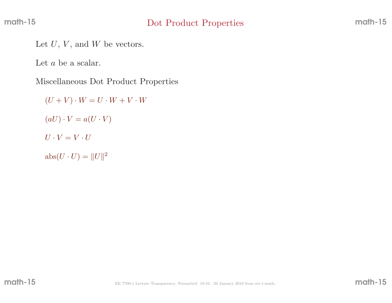Let  $U, V$ , and  $W$  be vectors.

Let  $a$  be a scalar.

Miscellaneous Dot Product Properties

 $(U + V) \cdot W = U \cdot W + V \cdot W$  $(aU)\cdot V = a(U\cdot V)$  $U \cdot V = V \cdot U$  $\text{abs}(U \cdot U) = ||U||^2$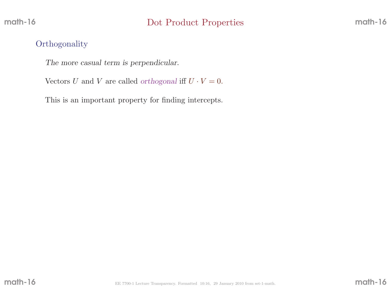## **Orthogonality**

The more casual term is perpendicular.

Vectors U and V are called orthogonal iff  $U \cdot V = 0$ .

This is an important property for finding intercepts.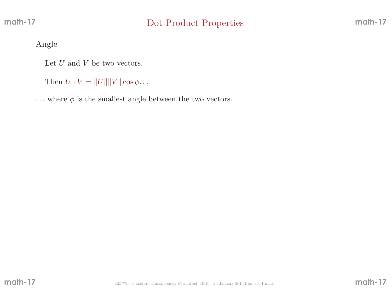Angle

Let  $U$  and  $V$  be two vectors.

Then  $U \cdot V = ||U|| ||V|| \cos \phi \dots$ 

 $\dots$  where  $\phi$  is the smallest angle between the two vectors.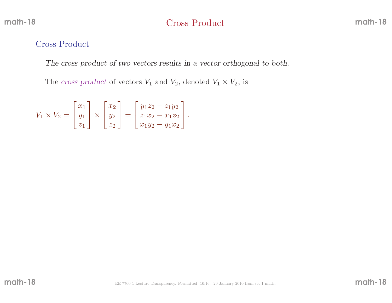# Cross Product

### Cross Product

The cross product of two vectors results in <sup>a</sup> vector orthogonal to both.

The cross product of vectors  $V_1$  and  $V_2$ , denoted  $V_1 \times V_2$ , is

$$
V_1 \times V_2 = \begin{bmatrix} x_1 \\ y_1 \\ z_1 \end{bmatrix} \times \begin{bmatrix} x_2 \\ y_2 \\ z_2 \end{bmatrix} = \begin{bmatrix} y_1 z_2 - z_1 y_2 \\ z_1 x_2 - x_1 z_2 \\ x_1 y_2 - y_1 x_2 \end{bmatrix}.
$$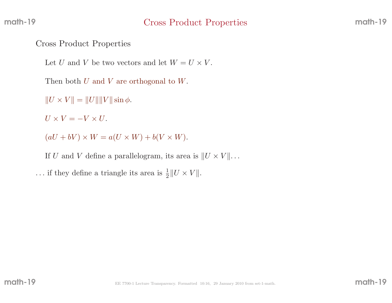### Cross Product Properties

Let U and V be two vectors and let  $W = U \times V$ .

Then both  $U$  and  $V$  are orthogonal to  $W$ .

 $||U \times V|| = ||U|| ||V|| \sin \phi.$ 

 $U \times V = -V \times U.$ 

 $(aU + bV) \times W = a(U \times W) + b(V \times W).$ 

If U and V define a parallelogram, its area is  $||U \times V|| \dots$ 

... if they define a triangle its area is  $\frac{1}{2} ||U \times V||$ .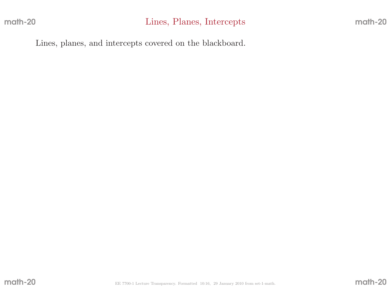Lines, <sup>p</sup>lanes, and intercepts covered on the blackboard.

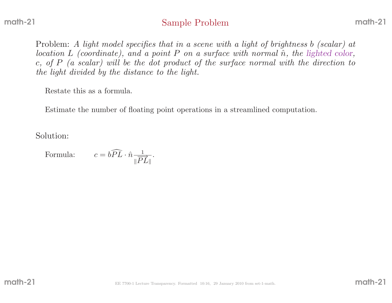# Sample Problem

Problem: A light model specifies that in a scene with a light of brightness b (scalar) at location L (coordinate), and a point P on a surface with normal  $\hat{n}$ , the lighted color, c, of P (a scalar) will be the dot product of the surface normal with the direction to the light divided by the distance to the light.

Restate this as <sup>a</sup> formula.

Estimate the number of floating point operations in <sup>a</sup> streamlined computation.

Solution:

Formula: 
$$
c = b\widehat{PL} \cdot \hat{n} \frac{1}{\|\overrightarrow{PL}\|}.
$$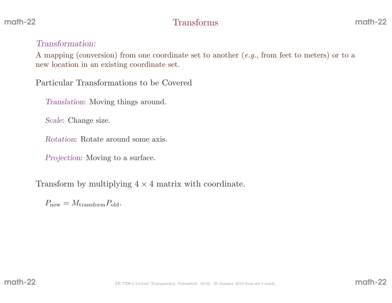# 2 **Transforms** math-22

### Transformation:

<sup>A</sup> mapping (conversion) from one coordinate set to another (e.g., from feet to meters) or to <sup>a</sup>new location in an existing coordinate set.

Particular Transformations to be Covered

Translation: Moving things around.

Scale: Change size.

Rotation: Rotate around some axis.

Projection: Moving to <sup>a</sup> surface.

Transform by multiplying  $4 \times 4$  matrix with coordinate.

 $P_{\text{new}} = M_{\text{transform}} P_{\text{old}}.$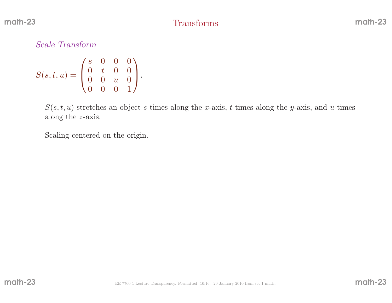Scale Transform

$$
S(s,t,u) = \begin{pmatrix} s & 0 & 0 & 0 \\ 0 & t & 0 & 0 \\ 0 & 0 & u & 0 \\ 0 & 0 & 0 & 1 \end{pmatrix}.
$$

 $S(s, t, u)$  stretches an object s times along the x-axis, t times along the y-axis, and u times along the <sup>z</sup>-axis.

Scaling centered on the origin.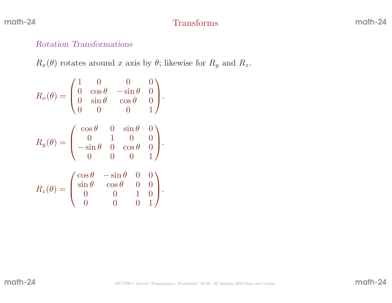# Transforms

## Rotation Transformations

 $R_x(\theta)$  rotates around x axis by  $\theta$ ; likewise for  $R_y$  and  $R_z$ .

$$
R_x(\theta) = \begin{pmatrix} 1 & 0 & 0 & 0 \\ 0 & \cos \theta & -\sin \theta & 0 \\ 0 & \sin \theta & \cos \theta & 0 \\ 0 & 0 & 0 & 1 \end{pmatrix}.
$$

$$
R_y(\theta) = \begin{pmatrix} \cos \theta & 0 & \sin \theta & 0 \\ 0 & 1 & 0 & 0 \\ -\sin \theta & 0 & \cos \theta & 0 \\ 0 & 0 & 0 & 1 \end{pmatrix}.
$$

$$
R_z(\theta) = \begin{pmatrix} \cos \theta & -\sin \theta & 0 & 0 \\ \sin \theta & \cos \theta & 0 & 0 \\ 0 & 0 & 1 & 0 \\ 0 & 0 & 0 & 1 \end{pmatrix}.
$$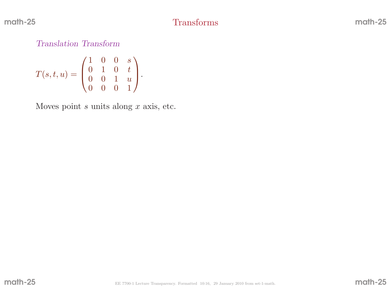Translation Transform

$$
T(s,t,u) = \begin{pmatrix} 1 & 0 & 0 & s \\ 0 & 1 & 0 & t \\ 0 & 0 & 1 & u \\ 0 & 0 & 0 & 1 \end{pmatrix}.
$$

Moves point  $s$  units along  $x$  axis, etc.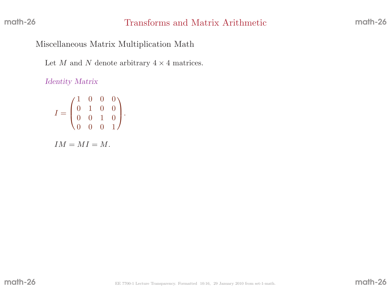Miscellaneous Matrix Multiplication Math

Let M and N denote arbitrary  $4 \times 4$  matrices.

Identity Matrix

$$
I = \begin{pmatrix} 1 & 0 & 0 & 0 \\ 0 & 1 & 0 & 0 \\ 0 & 0 & 1 & 0 \\ 0 & 0 & 0 & 1 \end{pmatrix}.
$$

 $IM = MI = M$ .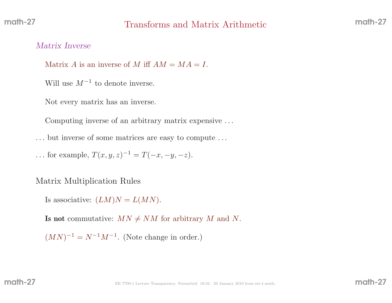# Transforms and Matrix Arithmetic

### Matrix Inverse

Matrix A is an inverse of M iff  $AM = MA = I$ .

Will use  $M^{-1}$  to denote inverse.

Not every matrix has an inverse.

Computing inverse of an arbitrary matrix expensive . . .

. . . but inverse of some matrices are easy to compute . . .

... for example,  $T(x, y, z)^{-1} = T(-x, -y, -z)$ .

Matrix Multiplication Rules

Is associative:  $(LM)N = L(MN)$ .

**Is not** commutative:  $MN \neq NM$  for arbitrary M and N.

 $(MN)^{-1} = N^{-1}M^{-1}$ . (Note change in order.)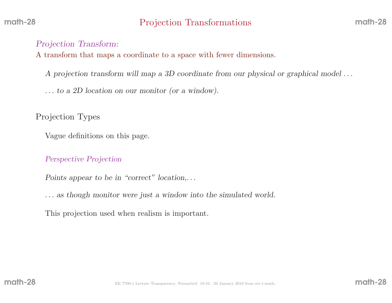## Projection Transform:

<sup>A</sup> transform that maps <sup>a</sup> coordinate to <sup>a</sup> space with fewer dimensions.

<sup>A</sup> projection transform will map <sup>a</sup> 3D coordinate from our <sup>p</sup>hysical or graphical model . . .

. . . to <sup>a</sup> 2D location on our monitor (or <sup>a</sup> window).

Projection Types

Vague definitions on this page.

#### Perspective Projection

Points appear to be in "correct" location,...

. . . as though monitor were just <sup>a</sup> window into the simulated world.

This projection used when realism is important.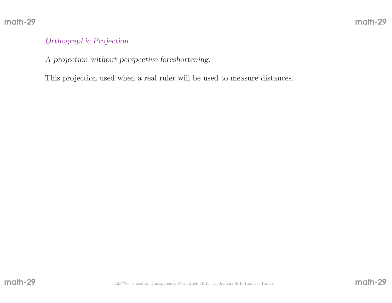### Orthographic Projection

<sup>A</sup> projection without perspective foreshortening.

This projection used when <sup>a</sup> real ruler will be used to measure distances.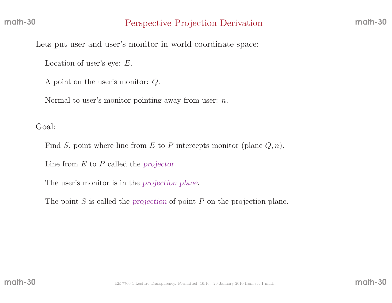Lets put user and user's monitor in world coordinate space:

Location of user's eye: <sup>E</sup>.

<sup>A</sup> point on the user's monitor: Q.

Normal to user's monitor pointing away from user:  $n$ .

Goal:

Find S, point where line from E to P intercepts monitor (plane  $Q, n$ ).

Line from  $E$  to  $P$  called the projector.

The user's monitor is in the projection <sup>p</sup>lane.

The point  $S$  is called the projection of point  $P$  on the projection plane.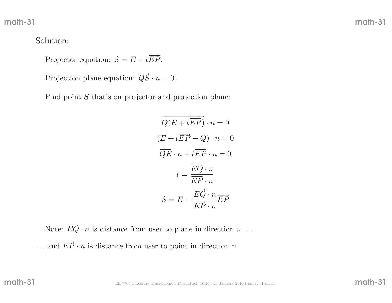## Solution:

Projector equation:  $S = E + t \overrightarrow{EP}$ .

Projection plane equation:  $\overrightarrow{QS} \cdot n = 0$ .

Find point  $S$  that's on projector and projection plane:

$$
\overrightarrow{Q(E+t\overrightarrow{EP})} \cdot n = 0
$$

$$
(E+t\overrightarrow{EP}-Q) \cdot n = 0
$$

$$
\overrightarrow{QE} \cdot n + t\overrightarrow{EP} \cdot n = 0
$$

$$
t = \frac{\overrightarrow{EQ} \cdot n}{\overrightarrow{EP} \cdot n}
$$

$$
S = E + \frac{\overrightarrow{EQ} \cdot n}{\overrightarrow{EP} \cdot n} \overrightarrow{EP}
$$

Note:  $\overrightarrow{EQ} \cdot n$  is distance from user to plane in direction  $n \dots$  $\dots$  and  $\overrightarrow{EP} \cdot n$  is distance from user to point in direction n.

math-31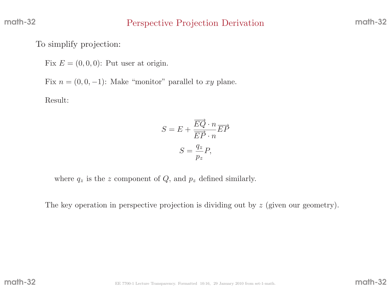To simplify projection:

Fix  $E = (0, 0, 0)$ : Put user at origin.

Fix  $n = (0, 0, -1)$ : Make "monitor" parallel to xy plane.

Result:

$$
S = E + \frac{\overrightarrow{EQ} \cdot n}{\overrightarrow{EP} \cdot n} \overrightarrow{EP}
$$

$$
S = \frac{q_z}{p_z} P,
$$

where  $q_z$  is the z component of  $Q$ , and  $p_z$  defined similarly.

The key operation in perspective projection is dividing out by  $z$  (given our geometry).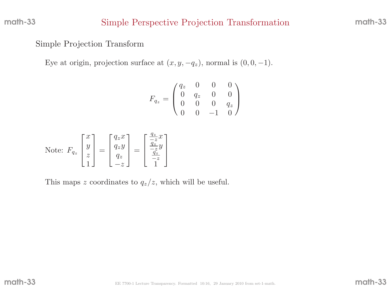## Simple Perspective Projection Transformation

math-33

## Simple Projection Transform

Eye at origin, projection surface at  $(x, y, -q_z)$ , normal is  $(0, 0, -1)$ .

$$
F_{q_z} = \begin{pmatrix} q_z & 0 & 0 & 0 \\ 0 & q_z & 0 & 0 \\ 0 & 0 & 0 & q_z \\ 0 & 0 & -1 & 0 \end{pmatrix}
$$

Note: 
$$
F_{q_z} \begin{bmatrix} x \\ y \\ z \\ 1 \end{bmatrix} = \begin{bmatrix} q_z x \\ q_z y \\ q_z \\ -z \end{bmatrix} = \begin{bmatrix} \frac{q_z}{-z} x \\ \frac{q_z}{-z} y \\ \frac{q_z}{-z} \\ 1 \end{bmatrix}
$$

This maps z coordinates to  $q_z/z$ , which will be useful.